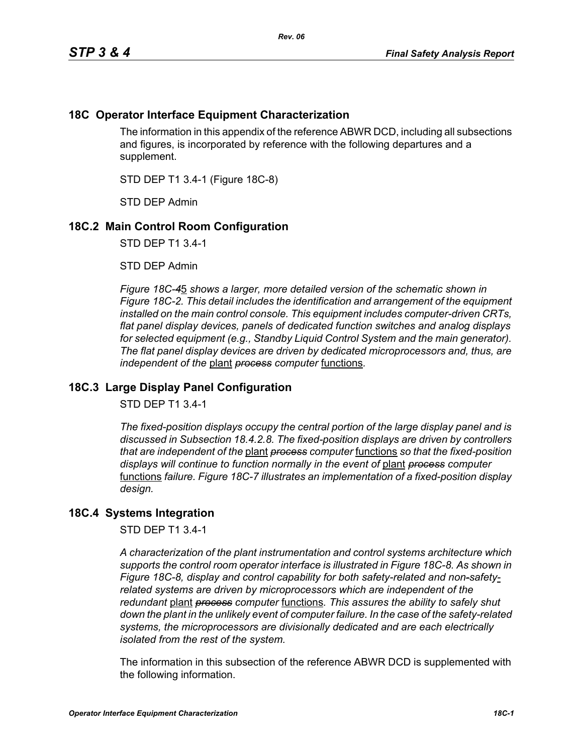## **18C Operator Interface Equipment Characterization**

The information in this appendix of the reference ABWR DCD, including all subsections and figures, is incorporated by reference with the following departures and a supplement.

STD DEP T1 3.4-1 (Figure 18C-8)

STD DEP Admin

## **18C.2 Main Control Room Configuration**

STD DEP T1 3.4-1

STD DEP Admin

*Figure 18C-4*5 *shows a larger, more detailed version of the schematic shown in Figure 18C-2. This detail includes the identification and arrangement of the equipment installed on the main control console. This equipment includes computer-driven CRTs, flat panel display devices, panels of dedicated function switches and analog displays for selected equipment (e.g., Standby Liquid Control System and the main generator). The flat panel display devices are driven by dedicated microprocessors and, thus, are independent of the* plant *process computer* functions*.*

## **18C.3 Large Display Panel Configuration**

STD DEP T1 3.4-1

*The fixed-position displays occupy the central portion of the large display panel and is discussed in Subsection 18.4.2.8. The fixed-position displays are driven by controllers that are independent of the* plant *process computer* functions *so that the fixed-position displays will continue to function normally in the event of* plant *process computer*  functions *failure. Figure 18C-7 illustrates an implementation of a fixed-position display design.*

## **18C.4 Systems Integration**

STD DEP T1 3.4-1

*A characterization of the plant instrumentation and control systems architecture which supports the control room operator interface is illustrated in Figure 18C-8. As shown in Figure 18C-8, display and control capability for both safety-related and non-safetyrelated systems are driven by microprocessors which are independent of the redundant* plant *process computer* functions*. This assures the ability to safely shut down the plant in the unlikely event of computer failure. In the case of the safety-related systems, the microprocessors are divisionally dedicated and are each electrically isolated from the rest of the system.*

The information in this subsection of the reference ABWR DCD is supplemented with the following information.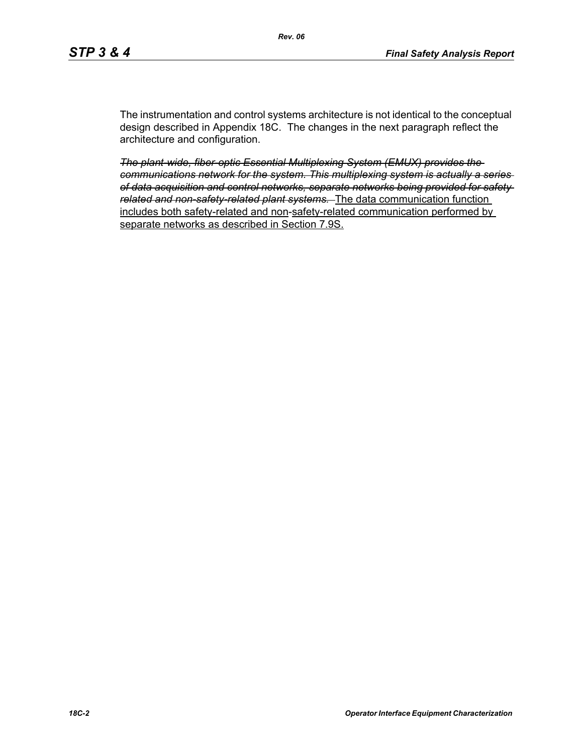The instrumentation and control systems architecture is not identical to the conceptual design described in Appendix 18C. The changes in the next paragraph reflect the architecture and configuration.

*The plant-wide, fiber-optic Essential Multiplexing System (EMUX) provides the communications network for the system. This multiplexing system is actually a series of data acquisition and control networks, separate networks being provided for safety related and non-safety-related plant systems.* The data communication function includes both safety-related and non-safety-related communication performed by separate networks as described in Section 7.9S.